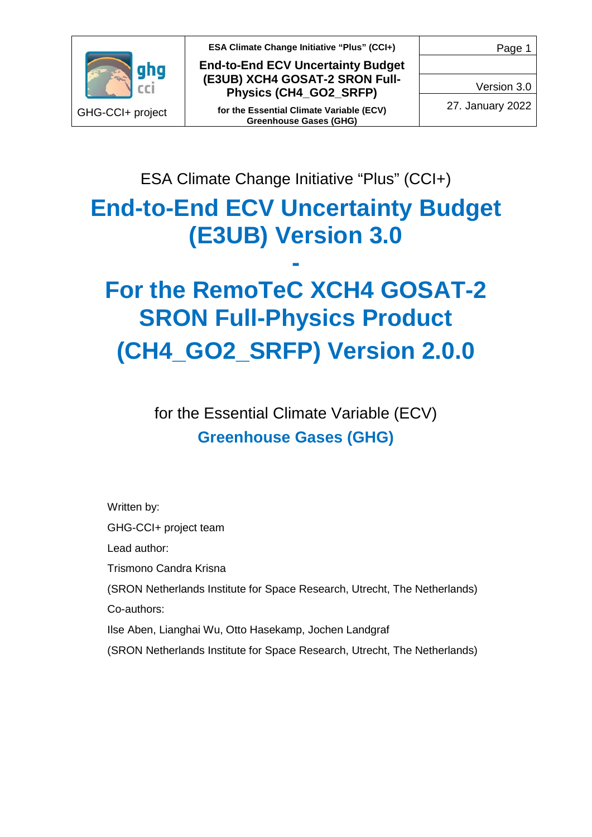

**End-to-End ECV Uncertainty Budget (E3UB) XCH4 GOSAT-2 SRON Full-Physics (CH4\_GO2\_SRFP)**

**for the Essential Climate Variable (ECV) Greenhouse Gases (GHG)**

Page 1

Version 3.0

27. January 2022

ESA Climate Change Initiative "Plus" (CCI+)

# **End-to-End ECV Uncertainty Budget (E3UB) Version 3.0**

# **- For the RemoTeC XCH4 GOSAT-2 SRON Full-Physics Product (CH4\_GO2\_SRFP) Version 2.0.0**

for the Essential Climate Variable (ECV) **Greenhouse Gases (GHG)**

Written by:

GHG-CCI+ project team

Lead author:

Trismono Candra Krisna

(SRON Netherlands Institute for Space Research, Utrecht, The Netherlands) Co-authors:

Ilse Aben, Lianghai Wu, Otto Hasekamp, Jochen Landgraf

(SRON Netherlands Institute for Space Research, Utrecht, The Netherlands)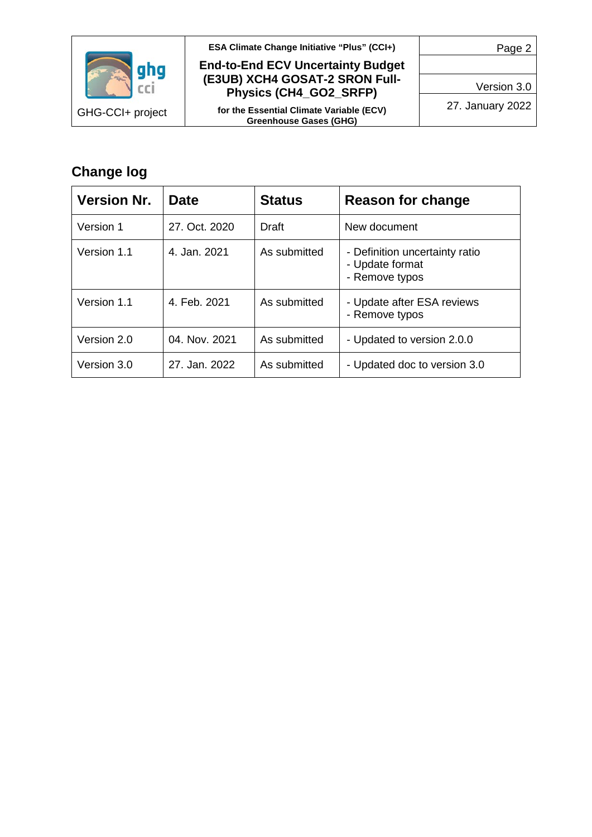

#### **End-to-End ECV Uncertainty Budget (E3UB) XCH4 GOSAT-2 SRON Full-Physics (CH4\_GO2\_SRFP)**

**for the Essential Climate Variable (ECV) Greenhouse Gases (GHG)**

Page 2

Version 3.0

27. January 2022

# **Change log**

| <b>Version Nr.</b> | <b>Date</b>   | <b>Status</b> | Reason for change                                                   |
|--------------------|---------------|---------------|---------------------------------------------------------------------|
| Version 1          | 27. Oct. 2020 | Draft         | New document                                                        |
| Version 1.1        | 4. Jan. 2021  | As submitted  | - Definition uncertainty ratio<br>- Update format<br>- Remove typos |
| Version 1.1        | 4. Feb. 2021  | As submitted  | - Update after ESA reviews<br>- Remove typos                        |
| Version 2.0        | 04. Nov. 2021 | As submitted  | - Updated to version 2.0.0                                          |
| Version 3.0        | 27. Jan. 2022 | As submitted  | - Updated doc to version 3.0                                        |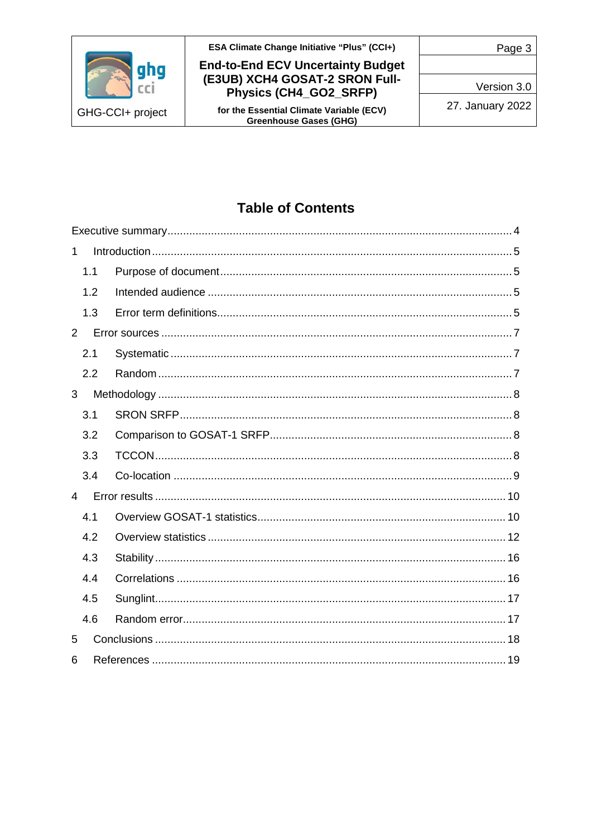

#### **End-to-End ECV Uncertainty Budget** (E3UB) XCH4 GOSAT-2 SRON Full-Physics (CH4\_GO2\_SRFP)

for the Essential Climate Variable (ECV)<br>Greenhouse Gases (GHG)

Version 3.0

Page 3

27. January 2022

### **Table of Contents**

| $\mathbf{1}$   |     |  |
|----------------|-----|--|
|                | 1.1 |  |
|                | 1.2 |  |
|                | 1.3 |  |
| $\overline{2}$ |     |  |
|                | 2.1 |  |
|                | 2.2 |  |
| 3              |     |  |
|                | 3.1 |  |
|                | 3.2 |  |
|                | 3.3 |  |
|                | 3.4 |  |
| $\overline{4}$ |     |  |
|                | 4.1 |  |
|                | 4.2 |  |
|                | 4.3 |  |
|                | 4.4 |  |
|                | 4.5 |  |
|                | 4.6 |  |
| 5              |     |  |
| 6              |     |  |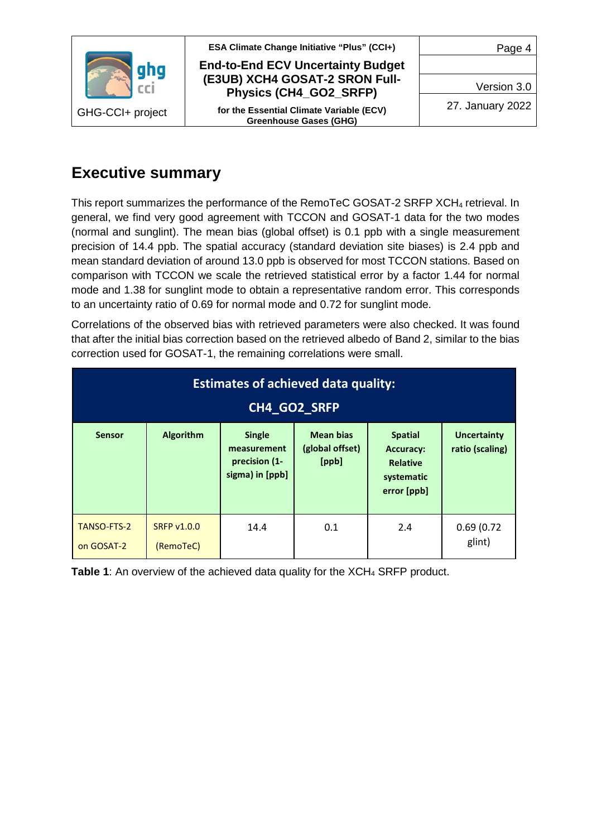

**ESA Climate Change Initiative "Plus" (CCI+) End-to-End ECV Uncertainty Budget (E3UB) XCH4 GOSAT-2 SRON Full-**

**Physics (CH4\_GO2\_SRFP) for the Essential Climate Variable (ECV) Greenhouse Gases (GHG)**

| Page 4           |
|------------------|
|                  |
| Version 3.0      |
| 27. January 2022 |

<span id="page-3-0"></span>**Executive summary** 

This report summarizes the performance of the RemoTeC GOSAT-2 SRFP XCH4 retrieval. In general, we find very good agreement with TCCON and GOSAT-1 data for the two modes (normal and sunglint). The mean bias (global offset) is 0.1 ppb with a single measurement precision of 14.4 ppb. The spatial accuracy (standard deviation site biases) is 2.4 ppb and mean standard deviation of around 13.0 ppb is observed for most TCCON stations. Based on comparison with TCCON we scale the retrieved statistical error by a factor 1.44 for normal mode and 1.38 for sunglint mode to obtain a representative random error. This corresponds to an uncertainty ratio of 0.69 for normal mode and 0.72 for sunglint mode.

Correlations of the observed bias with retrieved parameters were also checked. It was found that after the initial bias correction based on the retrieved albedo of Band 2, similar to the bias correction used for GOSAT-1, the remaining correlations were small.

| <b>Estimates of achieved data quality:</b><br>CH4_GO2_SRFP |                                                                                      |      |     |                                                                                                                                                                             |                      |  |  |
|------------------------------------------------------------|--------------------------------------------------------------------------------------|------|-----|-----------------------------------------------------------------------------------------------------------------------------------------------------------------------------|----------------------|--|--|
| <b>Sensor</b>                                              | <b>Algorithm</b><br><b>Single</b><br>measurement<br>precision (1-<br>sigma) in [ppb] |      |     | <b>Mean bias</b><br><b>Uncertainty</b><br><b>Spatial</b><br>(global offset)<br>ratio (scaling)<br><b>Accuracy:</b><br>[ppb]<br><b>Relative</b><br>systematic<br>error [ppb] |                      |  |  |
| TANSO-FTS-2<br>on GOSAT-2                                  | <b>SRFP v1.0.0</b><br>(RemoTeC)                                                      | 14.4 | 0.1 | 2.4                                                                                                                                                                         | 0.69(0.72)<br>glint) |  |  |

**Table 1:** An overview of the achieved data quality for the XCH<sub>4</sub> SRFP product.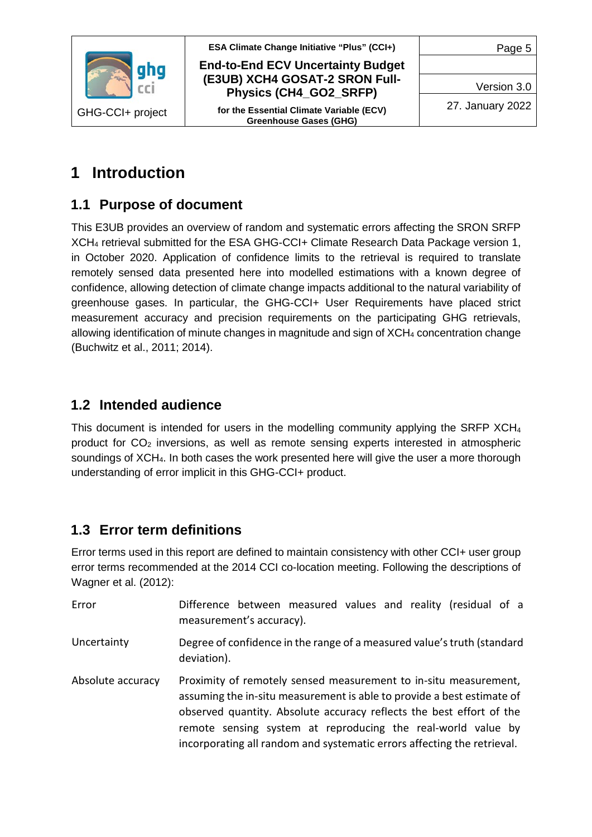

**End-to-End ECV Uncertainty Budget (E3UB) XCH4 GOSAT-2 SRON Full-Physics (CH4\_GO2\_SRFP)**

**for the Essential Climate Variable (ECV) Greenhouse Gases (GHG)**

Page 5

Version 3.0

27. January 2022

# <span id="page-4-0"></span>**1 Introduction**

### <span id="page-4-1"></span>**1.1 Purpose of document**

This E3UB provides an overview of random and systematic errors affecting the SRON SRFP XCH4 retrieval submitted for the ESA GHG-CCI+ Climate Research Data Package version 1, in October 2020. Application of confidence limits to the retrieval is required to translate remotely sensed data presented here into modelled estimations with a known degree of confidence, allowing detection of climate change impacts additional to the natural variability of greenhouse gases. In particular, the GHG-CCI+ User Requirements have placed strict measurement accuracy and precision requirements on the participating GHG retrievals, allowing identification of minute changes in magnitude and sign of  $XCH<sub>4</sub>$  concentration change (Buchwitz et al., 2011; 2014).

### <span id="page-4-2"></span>**1.2 Intended audience**

This document is intended for users in the modelling community applying the SRFP  $XCH<sub>4</sub>$ product for  $CO<sub>2</sub>$  inversions, as well as remote sensing experts interested in atmospheric soundings of XCH<sub>4</sub>. In both cases the work presented here will give the user a more thorough understanding of error implicit in this GHG-CCI+ product.

### <span id="page-4-3"></span>**1.3 Error term definitions**

Error terms used in this report are defined to maintain consistency with other CCI+ user group error terms recommended at the 2014 CCI co-location meeting. Following the descriptions of Wagner et al. (2012):

| Error             | Difference between measured values and reality (residual of a<br>measurement's accuracy).                                                                                                                                                                                                                                                                     |  |  |  |  |  |
|-------------------|---------------------------------------------------------------------------------------------------------------------------------------------------------------------------------------------------------------------------------------------------------------------------------------------------------------------------------------------------------------|--|--|--|--|--|
| Uncertainty       | Degree of confidence in the range of a measured value's truth (standard<br>deviation).                                                                                                                                                                                                                                                                        |  |  |  |  |  |
| Absolute accuracy | Proximity of remotely sensed measurement to in-situ measurement,<br>assuming the in-situ measurement is able to provide a best estimate of<br>observed quantity. Absolute accuracy reflects the best effort of the<br>remote sensing system at reproducing the real-world value by<br>incorporating all random and systematic errors affecting the retrieval. |  |  |  |  |  |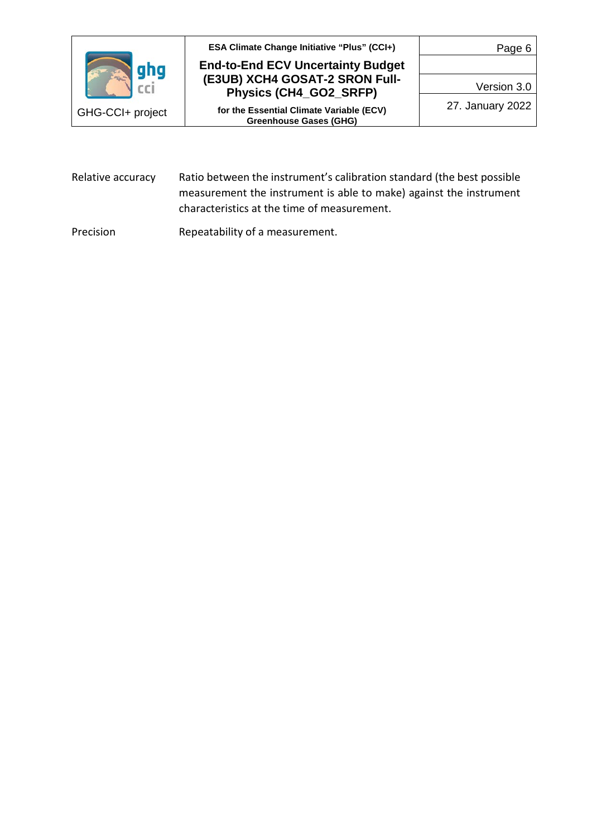

#### **End-to-End ECV Uncertainty Budget (E3UB) XCH4 GOSAT-2 SRON Full-Physics (CH4\_GO2\_SRFP)**

**for the Essential Climate Variable (ECV) Greenhouse Gases (GHG)**

Page 6

Version 3.0

27. January 2022

Relative accuracy Ratio between the instrument's calibration standard (the best possible measurement the instrument is able to make) against the instrument characteristics at the time of measurement.

<span id="page-5-0"></span>Precision Repeatability of a measurement.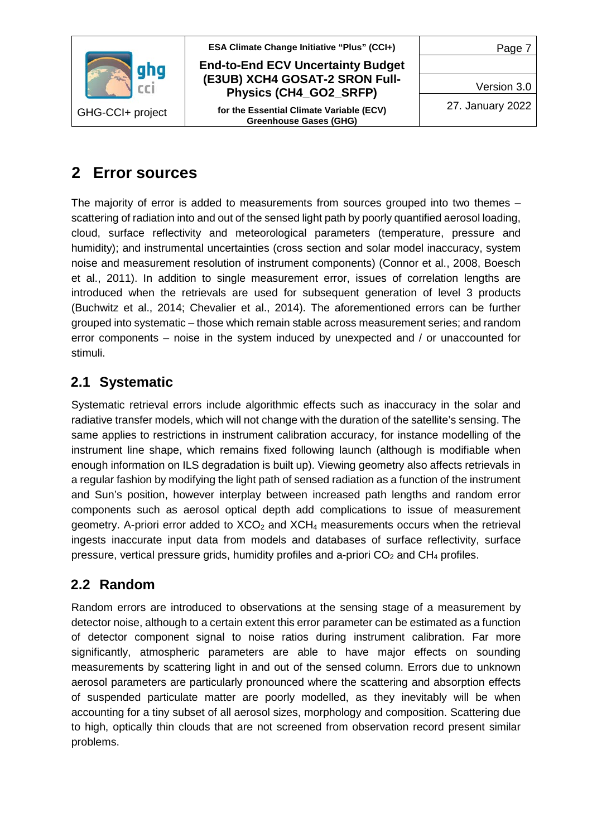

**ESA Climate Change Initiative "Plus" (CCI+) End-to-End ECV Uncertainty Budget (E3UB) XCH4 GOSAT-2 SRON Full-Physics (CH4\_GO2\_SRFP)**

**for the Essential Climate Variable (ECV) Greenhouse Gases (GHG)**

Page 7 Version 3.0

27. January 2022

# **2 Error sources**

The majority of error is added to measurements from sources grouped into two themes – scattering of radiation into and out of the sensed light path by poorly quantified aerosol loading, cloud, surface reflectivity and meteorological parameters (temperature, pressure and humidity); and instrumental uncertainties (cross section and solar model inaccuracy, system noise and measurement resolution of instrument components) (Connor et al., 2008, Boesch et al., 2011). In addition to single measurement error, issues of correlation lengths are introduced when the retrievals are used for subsequent generation of level 3 products (Buchwitz et al., 2014; Chevalier et al., 2014). The aforementioned errors can be further grouped into systematic – those which remain stable across measurement series; and random error components – noise in the system induced by unexpected and / or unaccounted for stimuli.

# <span id="page-6-0"></span>**2.1 Systematic**

Systematic retrieval errors include algorithmic effects such as inaccuracy in the solar and radiative transfer models, which will not change with the duration of the satellite's sensing. The same applies to restrictions in instrument calibration accuracy, for instance modelling of the instrument line shape, which remains fixed following launch (although is modifiable when enough information on ILS degradation is built up). Viewing geometry also affects retrievals in a regular fashion by modifying the light path of sensed radiation as a function of the instrument and Sun's position, however interplay between increased path lengths and random error components such as aerosol optical depth add complications to issue of measurement geometry. A-priori error added to  $XCO<sub>2</sub>$  and  $XCH<sub>4</sub>$  measurements occurs when the retrieval ingests inaccurate input data from models and databases of surface reflectivity, surface pressure, vertical pressure grids, humidity profiles and a-priori  $CO<sub>2</sub>$  and  $CH<sub>4</sub>$  profiles.

### <span id="page-6-1"></span>**2.2 Random**

Random errors are introduced to observations at the sensing stage of a measurement by detector noise, although to a certain extent this error parameter can be estimated as a function of detector component signal to noise ratios during instrument calibration. Far more significantly, atmospheric parameters are able to have major effects on sounding measurements by scattering light in and out of the sensed column. Errors due to unknown aerosol parameters are particularly pronounced where the scattering and absorption effects of suspended particulate matter are poorly modelled, as they inevitably will be when accounting for a tiny subset of all aerosol sizes, morphology and composition. Scattering due to high, optically thin clouds that are not screened from observation record present similar problems.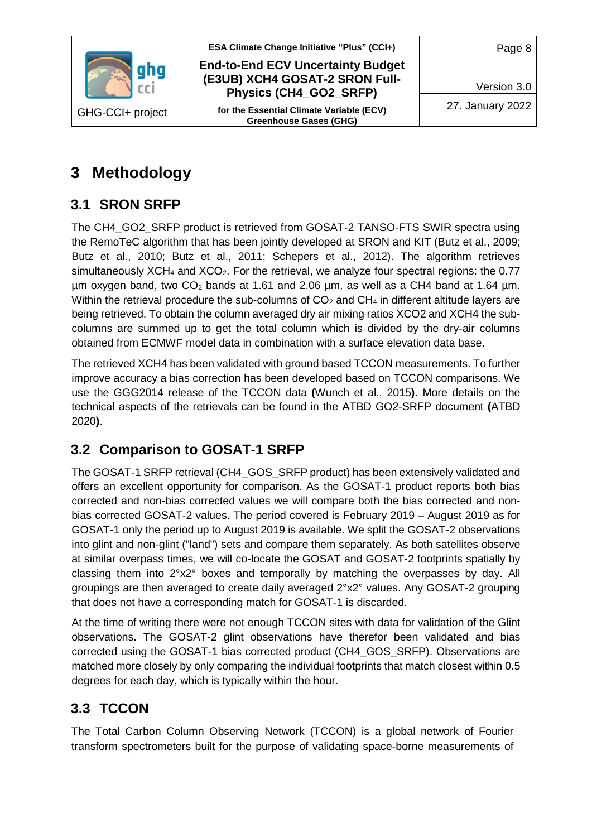

#### **End-to-End ECV Uncertainty Budget (E3UB) XCH4 GOSAT-2 SRON Full-Physics (CH4\_GO2\_SRFP)**

**for the Essential Climate Variable (ECV) Greenhouse Gases (GHG)**

Page 8

Version 3.0

27. January 2022

# <span id="page-7-0"></span>**3 Methodology**

# <span id="page-7-1"></span>**3.1 SRON SRFP**

The CH4\_GO2\_SRFP product is retrieved from GOSAT-2 TANSO-FTS SWIR spectra using the RemoTeC algorithm that has been jointly developed at SRON and KIT (Butz et al., 2009; Butz et al., 2010; Butz et al., 2011; Schepers et al., 2012). The algorithm retrieves simultaneously  $XCH_4$  and  $XCO_2$ . For the retrieval, we analyze four spectral regions: the 0.77  $\mu$ m oxygen band, two CO<sub>2</sub> bands at 1.61 and 2.06  $\mu$ m, as well as a CH4 band at 1.64  $\mu$ m. Within the retrieval procedure the sub-columns of  $CO<sub>2</sub>$  and  $CH<sub>4</sub>$  in different altitude layers are being retrieved. To obtain the column averaged dry air mixing ratios XCO2 and XCH4 the subcolumns are summed up to get the total column which is divided by the dry-air columns obtained from ECMWF model data in combination with a surface elevation data base.

The retrieved XCH4 has been validated with ground based TCCON measurements. To further improve accuracy a bias correction has been developed based on TCCON comparisons. We use the GGG2014 release of the TCCON data **(**Wunch et al., 2015**).** More details on the technical aspects of the retrievals can be found in the ATBD GO2-SRFP document **(**ATBD 2020**)**.

# <span id="page-7-2"></span>**3.2 Comparison to GOSAT-1 SRFP**

The GOSAT-1 SRFP retrieval (CH4\_GOS\_SRFP product) has been extensively validated and offers an excellent opportunity for comparison. As the GOSAT-1 product reports both bias corrected and non-bias corrected values we will compare both the bias corrected and nonbias corrected GOSAT-2 values. The period covered is February 2019 – August 2019 as for GOSAT-1 only the period up to August 2019 is available. We split the GOSAT-2 observations into glint and non-glint ("land") sets and compare them separately. As both satellites observe at similar overpass times, we will co-locate the GOSAT and GOSAT-2 footprints spatially by classing them into 2°x2° boxes and temporally by matching the overpasses by day. All groupings are then averaged to create daily averaged 2°x2° values. Any GOSAT-2 grouping that does not have a corresponding match for GOSAT-1 is discarded.

At the time of writing there were not enough TCCON sites with data for validation of the Glint observations. The GOSAT-2 glint observations have therefor been validated and bias corrected using the GOSAT-1 bias corrected product (CH4\_GOS\_SRFP). Observations are matched more closely by only comparing the individual footprints that match closest within 0.5 degrees for each day, which is typically within the hour.

# <span id="page-7-3"></span>**3.3 TCCON**

The Total Carbon Column Observing Network (TCCON) is a global network of Fourier transform spectrometers built for the purpose of validating space-borne measurements of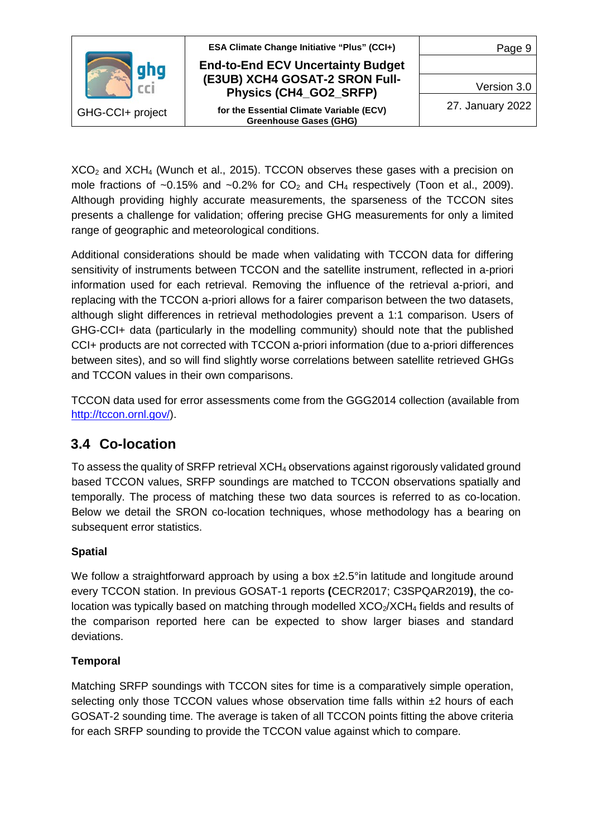

 $XCO<sub>2</sub>$  and  $XCH<sub>4</sub>$  (Wunch et al., 2015). TCCON observes these gases with a precision on mole fractions of  $\sim 0.15\%$  and  $\sim 0.2\%$  for CO<sub>2</sub> and CH<sub>4</sub> respectively (Toon et al., 2009). Although providing highly accurate measurements, the sparseness of the TCCON sites presents a challenge for validation; offering precise GHG measurements for only a limited range of geographic and meteorological conditions.

Additional considerations should be made when validating with TCCON data for differing sensitivity of instruments between TCCON and the satellite instrument, reflected in a-priori information used for each retrieval. Removing the influence of the retrieval a-priori, and replacing with the TCCON a-priori allows for a fairer comparison between the two datasets, although slight differences in retrieval methodologies prevent a 1:1 comparison. Users of GHG-CCI+ data (particularly in the modelling community) should note that the published CCI+ products are not corrected with TCCON a-priori information (due to a-priori differences between sites), and so will find slightly worse correlations between satellite retrieved GHGs and TCCON values in their own comparisons.

TCCON data used for error assessments come from the GGG2014 collection (available from [http://tccon.ornl.gov/\)](http://tccon.ornl.gov/).

### <span id="page-8-0"></span>**3.4 Co-location**

To assess the quality of SRFP retrieval XCH<sub>4</sub> observations against rigorously validated ground based TCCON values, SRFP soundings are matched to TCCON observations spatially and temporally. The process of matching these two data sources is referred to as co-location. Below we detail the SRON co-location techniques, whose methodology has a bearing on subsequent error statistics.

#### **Spatial**

We follow a straightforward approach by using a box ±2.5°in latitude and longitude around every TCCON station. In previous GOSAT-1 reports **(**CECR2017; C3SPQAR2019**)**, the colocation was typically based on matching through modelled  $XCO<sub>2</sub>/XCH<sub>4</sub>$  fields and results of the comparison reported here can be expected to show larger biases and standard deviations.

#### **Temporal**

Matching SRFP soundings with TCCON sites for time is a comparatively simple operation, selecting only those TCCON values whose observation time falls within ±2 hours of each GOSAT-2 sounding time. The average is taken of all TCCON points fitting the above criteria for each SRFP sounding to provide the TCCON value against which to compare.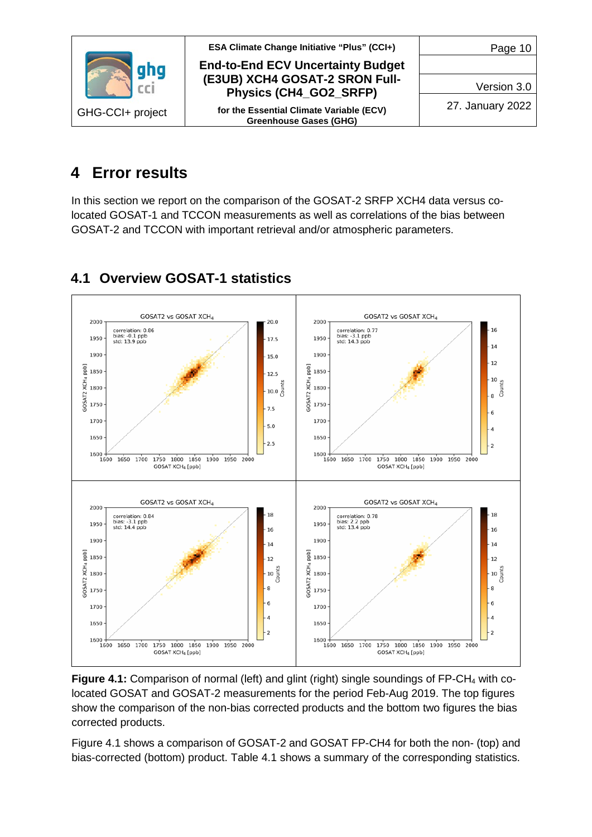

# <span id="page-9-0"></span>**4 Error results**

In this section we report on the comparison of the GOSAT-2 SRFP XCH4 data versus colocated GOSAT-1 and TCCON measurements as well as correlations of the bias between GOSAT-2 and TCCON with important retrieval and/or atmospheric parameters.



### <span id="page-9-1"></span>**4.1 Overview GOSAT-1 statistics**

**Figure 4.1:** Comparison of normal (left) and glint (right) single soundings of FP-CH<sub>4</sub> with colocated GOSAT and GOSAT-2 measurements for the period Feb-Aug 2019. The top figures show the comparison of the non-bias corrected products and the bottom two figures the bias corrected products.

Figure 4.1 shows a comparison of GOSAT-2 and GOSAT FP-CH4 for both the non- (top) and bias-corrected (bottom) product. Table 4.1 shows a summary of the corresponding statistics.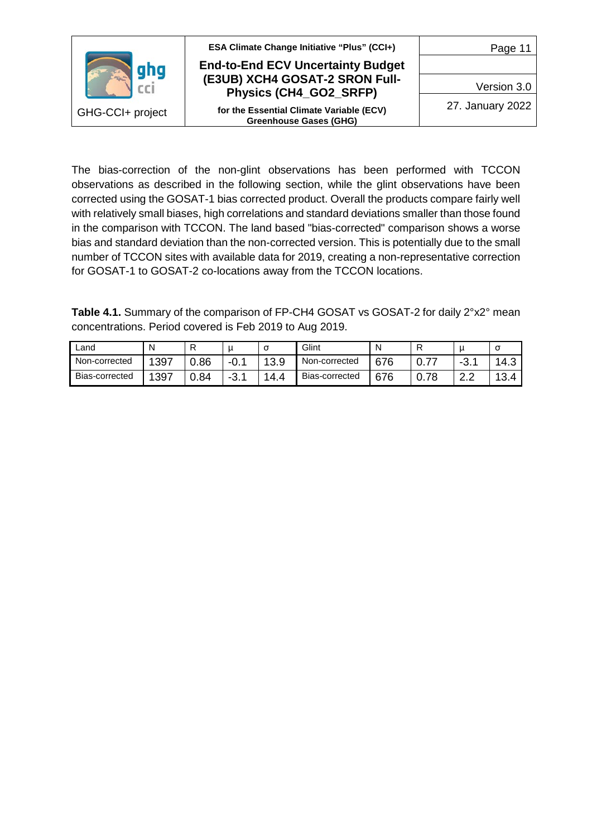

The bias-correction of the non-glint observations has been performed with TCCON observations as described in the following section, while the glint observations have been corrected using the GOSAT-1 bias corrected product. Overall the products compare fairly well with relatively small biases, high correlations and standard deviations smaller than those found in the comparison with TCCON. The land based "bias-corrected" comparison shows a worse bias and standard deviation than the non-corrected version. This is potentially due to the small number of TCCON sites with available data for 2019, creating a non-representative correction for GOSAT-1 to GOSAT-2 co-locations away from the TCCON locations.

**Table 4.1.** Summary of the comparison of FP-CH4 GOSAT vs GOSAT-2 for daily 2°x2° mean concentrations. Period covered is Feb 2019 to Aug 2019.

| Land           | -Ni  |      |                   |      | Glin           |     |     |            |      |
|----------------|------|------|-------------------|------|----------------|-----|-----|------------|------|
| Non-corrected  | 1397 | 0.86 | -v. .             | 13.9 | Non-corrected  | 676 |     | ົ          |      |
| Bias-corrected | 1397 | 0.84 | $\Omega$<br>. - ت | 14.4 | Bias-corrected | 676 | ◡.≀ | <u>_._</u> | ູບ.∙ |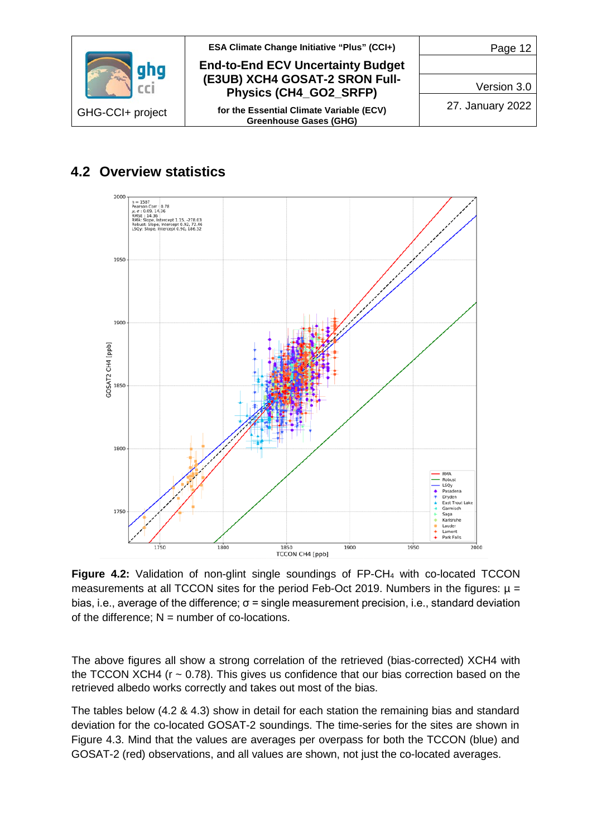

### <span id="page-11-0"></span>**4.2 Overview statistics**



**Figure 4.2:** Validation of non-glint single soundings of FP-CH<sub>4</sub> with co-located TCCON measurements at all TCCON sites for the period Feb-Oct 2019. Numbers in the figures:  $\mu$  = bias, i.e., average of the difference;  $\sigma$  = single measurement precision, i.e., standard deviation of the difference:  $N =$  number of co-locations.

The above figures all show a strong correlation of the retrieved (bias-corrected) XCH4 with the TCCON XCH4 ( $r \sim 0.78$ ). This gives us confidence that our bias correction based on the retrieved albedo works correctly and takes out most of the bias.

The tables below (4.2 & 4.3) show in detail for each station the remaining bias and standard deviation for the co-located GOSAT-2 soundings. The time-series for the sites are shown in Figure 4.3. Mind that the values are averages per overpass for both the TCCON (blue) and GOSAT-2 (red) observations, and all values are shown, not just the co-located averages.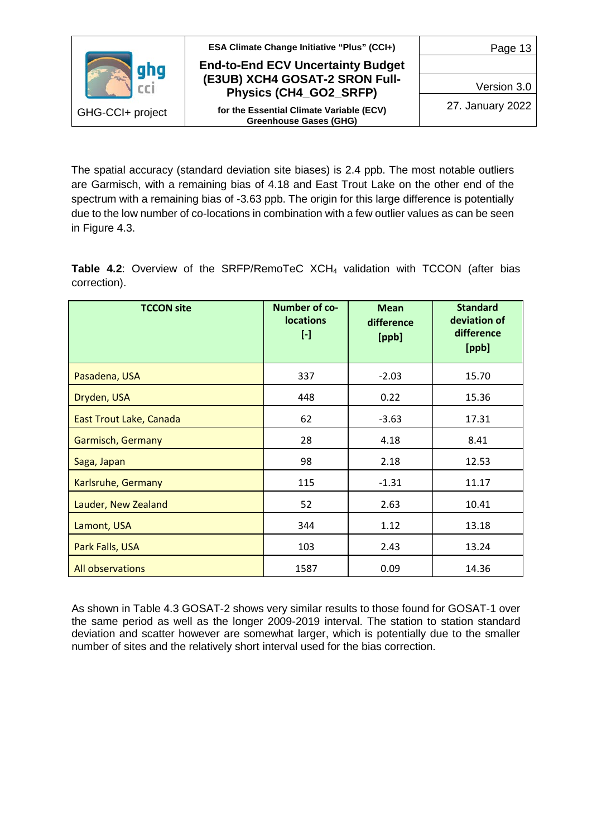![](_page_12_Picture_0.jpeg)

The spatial accuracy (standard deviation site biases) is 2.4 ppb. The most notable outliers are Garmisch, with a remaining bias of 4.18 and East Trout Lake on the other end of the spectrum with a remaining bias of -3.63 ppb. The origin for this large difference is potentially due to the low number of co-locations in combination with a few outlier values as can be seen in Figure 4.3.

Table 4.2: Overview of the SRFP/RemoTeC XCH<sub>4</sub> validation with TCCON (after bias correction).

| <b>TCCON site</b>       | Number of co-<br><b>locations</b><br>$\left[\cdot\right]$ | <b>Mean</b><br>difference<br>[ppb] | <b>Standard</b><br>deviation of<br>difference<br>[ppb] |
|-------------------------|-----------------------------------------------------------|------------------------------------|--------------------------------------------------------|
| Pasadena, USA           | 337                                                       | $-2.03$                            | 15.70                                                  |
| Dryden, USA             | 448                                                       | 0.22                               | 15.36                                                  |
| East Trout Lake, Canada | 62                                                        | $-3.63$                            | 17.31                                                  |
| Garmisch, Germany       | 28                                                        | 4.18                               | 8.41                                                   |
| Saga, Japan             | 98                                                        | 2.18                               | 12.53                                                  |
| Karlsruhe, Germany      | 115                                                       | $-1.31$                            | 11.17                                                  |
| Lauder, New Zealand     | 52                                                        | 2.63                               | 10.41                                                  |
| Lamont, USA             | 344                                                       | 1.12                               | 13.18                                                  |
| Park Falls, USA         | 103                                                       | 2.43                               | 13.24                                                  |
| <b>All observations</b> | 1587                                                      | 0.09                               | 14.36                                                  |

As shown in Table 4.3 GOSAT-2 shows very similar results to those found for GOSAT-1 over the same period as well as the longer 2009-2019 interval. The station to station standard deviation and scatter however are somewhat larger, which is potentially due to the smaller number of sites and the relatively short interval used for the bias correction.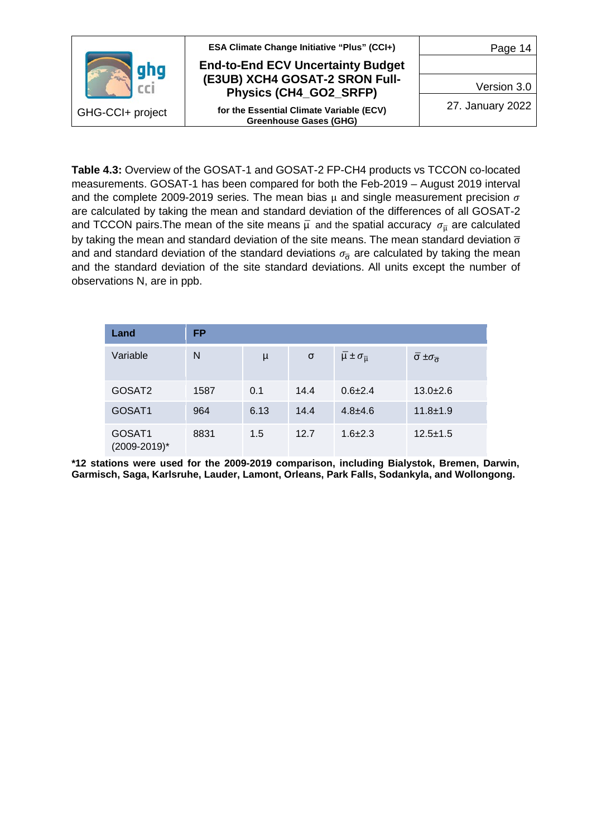![](_page_13_Picture_0.jpeg)

**Table 4.3:** Overview of the GOSAT-1 and GOSAT-2 FP-CH4 products vs TCCON co-located measurements. GOSAT-1 has been compared for both the Feb-2019 – August 2019 interval and the complete 2009-2019 series. The mean bias  $\mu$  and single measurement precision  $\sigma$ are calculated by taking the mean and standard deviation of the differences of all GOSAT-2 and TCCON pairs.The mean of the site means  $\bar{\mu}$  and the spatial accuracy  $\sigma_{\bar{\mu}}$  are calculated by taking the mean and standard deviation of the site means. The mean standard deviation  $\overline{\sigma}$ and and standard deviation of the standard deviations  $\sigma_{\overline{\sigma}}$  are calculated by taking the mean and the standard deviation of the site standard deviations. All units except the number of observations N, are in ppb.

| Land                   | <b>FP</b> |      |          |                                              |                                          |
|------------------------|-----------|------|----------|----------------------------------------------|------------------------------------------|
| Variable               | N         | μ    | $\sigma$ | $\overline{\mu} \pm \sigma_{\overline{\mu}}$ | $\bar{\sigma} \pm \sigma_{\bar{\sigma}}$ |
| GOSAT2                 | 1587      | 0.1  | 14.4     | $0.6{\pm}2.4$                                | $13.0+2.6$                               |
| GOSAT1                 | 964       | 6.13 | 14.4     | $4.8 + 4.6$                                  | $11.8 + 1.9$                             |
| GOSAT1<br>(2009-2019)* | 8831      | 1.5  | 12.7     | $1.6 + 2.3$                                  | $12.5 \pm 1.5$                           |

**\*12 stations were used for the 2009-2019 comparison, including Bialystok, Bremen, Darwin, Garmisch, Saga, Karlsruhe, Lauder, Lamont, Orleans, Park Falls, Sodankyla, and Wollongong.**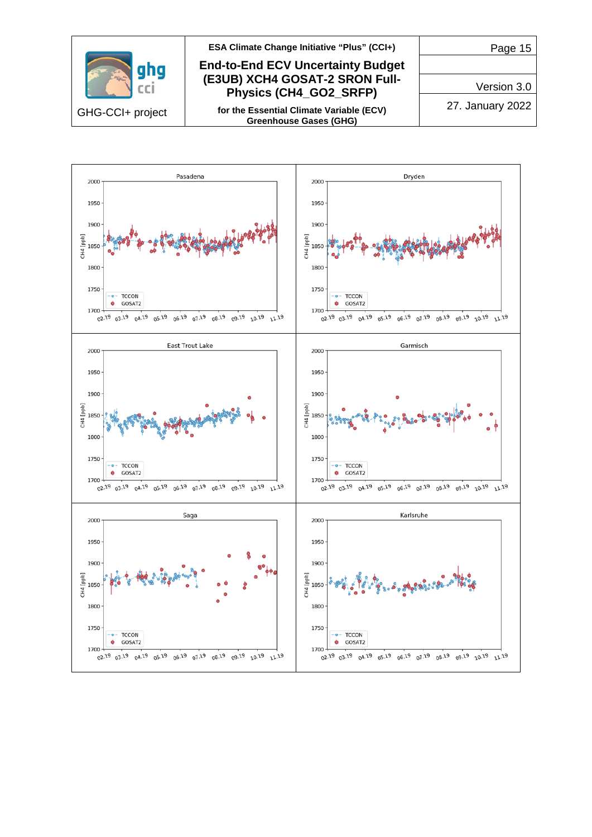![](_page_14_Figure_0.jpeg)

![](_page_14_Figure_1.jpeg)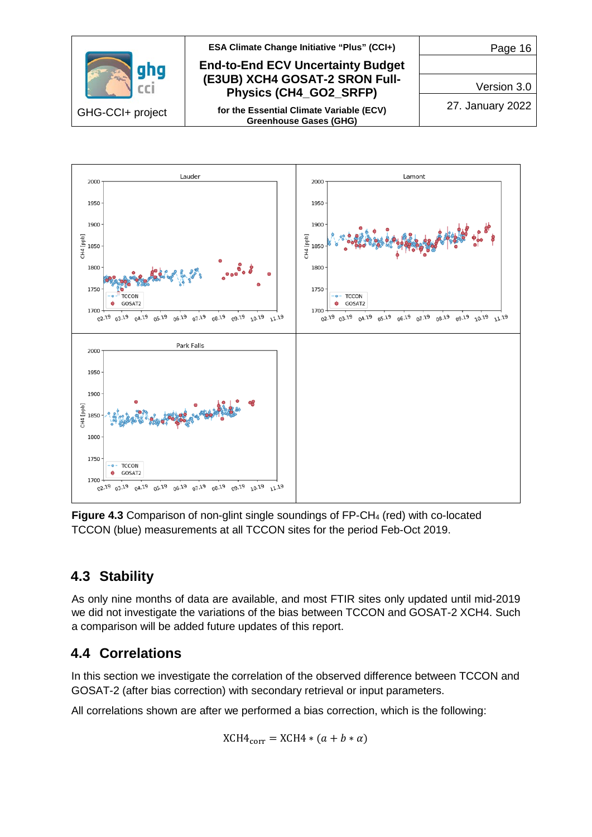![](_page_15_Figure_0.jpeg)

![](_page_15_Figure_1.jpeg)

**Figure 4.3** Comparison of non-glint single soundings of FP-CH4 (red) with co-located TCCON (blue) measurements at all TCCON sites for the period Feb-Oct 2019.

### <span id="page-15-0"></span>**4.3 Stability**

As only nine months of data are available, and most FTIR sites only updated until mid-2019 we did not investigate the variations of the bias between TCCON and GOSAT-2 XCH4. Such a comparison will be added future updates of this report.

#### <span id="page-15-1"></span>**4.4 Correlations**

In this section we investigate the correlation of the observed difference between TCCON and GOSAT-2 (after bias correction) with secondary retrieval or input parameters.

All correlations shown are after we performed a bias correction, which is the following:

$$
XCH4_{\text{corr}} = XCH4 * (a + b * \alpha)
$$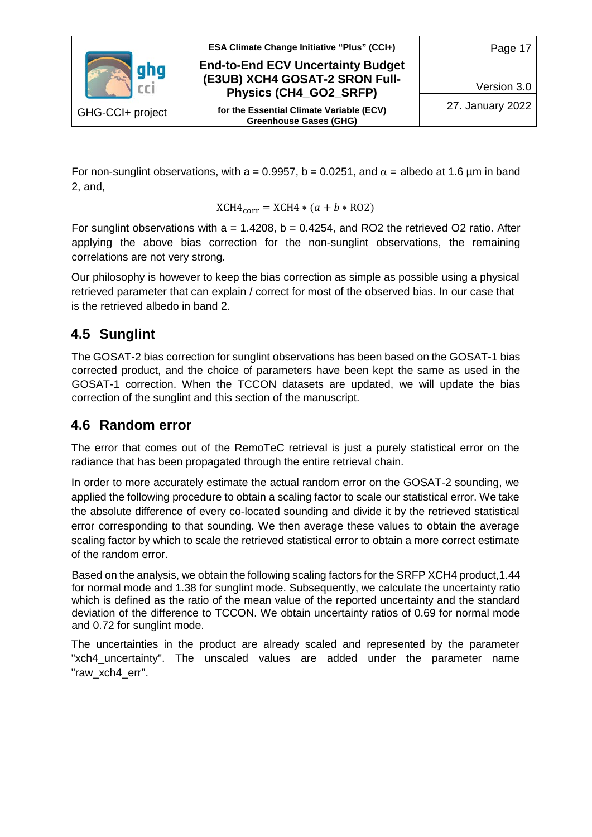![](_page_16_Picture_0.jpeg)

**ESA Climate Change Initiative "Plus" (CCI+) End-to-End ECV Uncertainty Budget (E3UB) XCH4 GOSAT-2 SRON Full-Physics (CH4\_GO2\_SRFP)**

**for the Essential Climate Variable (ECV) Greenhouse Gases (GHG)**

Page 17

Version 3.0

27. January 2022

For non-sunglint observations, with a = 0.9957, b = 0.0251, and  $\alpha$  = albedo at 1.6 um in band 2, and,

$$
XCH4_{\text{corr}} = XCH4 * (a + b * RO2)
$$

For sunglint observations with  $a = 1.4208$ ,  $b = 0.4254$ , and RO2 the retrieved O2 ratio. After applying the above bias correction for the non-sunglint observations, the remaining correlations are not very strong.

Our philosophy is however to keep the bias correction as simple as possible using a physical retrieved parameter that can explain / correct for most of the observed bias. In our case that is the retrieved albedo in band 2.

### <span id="page-16-0"></span>**4.5 Sunglint**

The GOSAT-2 bias correction for sunglint observations has been based on the GOSAT-1 bias corrected product, and the choice of parameters have been kept the same as used in the GOSAT-1 correction. When the TCCON datasets are updated, we will update the bias correction of the sunglint and this section of the manuscript.

#### <span id="page-16-1"></span>**4.6 Random error**

The error that comes out of the RemoTeC retrieval is just a purely statistical error on the radiance that has been propagated through the entire retrieval chain.

In order to more accurately estimate the actual random error on the GOSAT-2 sounding, we applied the following procedure to obtain a scaling factor to scale our statistical error. We take the absolute difference of every co-located sounding and divide it by the retrieved statistical error corresponding to that sounding. We then average these values to obtain the average scaling factor by which to scale the retrieved statistical error to obtain a more correct estimate of the random error.

Based on the analysis, we obtain the following scaling factors for the SRFP XCH4 product,1.44 for normal mode and 1.38 for sunglint mode. Subsequently, we calculate the uncertainty ratio which is defined as the ratio of the mean value of the reported uncertainty and the standard deviation of the difference to TCCON. We obtain uncertainty ratios of 0.69 for normal mode and 0.72 for sunglint mode.

The uncertainties in the product are already scaled and represented by the parameter "xch4 uncertainty". The unscaled values are added under the parameter name "raw\_xch4\_err".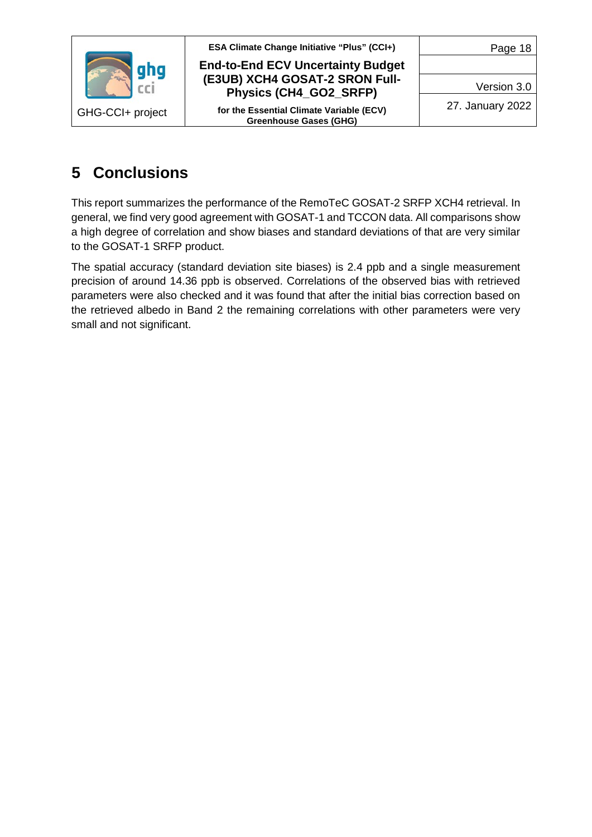![](_page_17_Picture_0.jpeg)

**End-to-End ECV Uncertainty Budget (E3UB) XCH4 GOSAT-2 SRON Full-Physics (CH4\_GO2\_SRFP)**

**for the Essential Climate Variable (ECV) Greenhouse Gases (GHG)**

Page 18 Version 3.0

27. January 2022

# <span id="page-17-0"></span>**5 Conclusions**

This report summarizes the performance of the RemoTeC GOSAT-2 SRFP XCH4 retrieval. In general, we find very good agreement with GOSAT-1 and TCCON data. All comparisons show a high degree of correlation and show biases and standard deviations of that are very similar to the GOSAT-1 SRFP product.

The spatial accuracy (standard deviation site biases) is 2.4 ppb and a single measurement precision of around 14.36 ppb is observed. Correlations of the observed bias with retrieved parameters were also checked and it was found that after the initial bias correction based on the retrieved albedo in Band 2 the remaining correlations with other parameters were very small and not significant.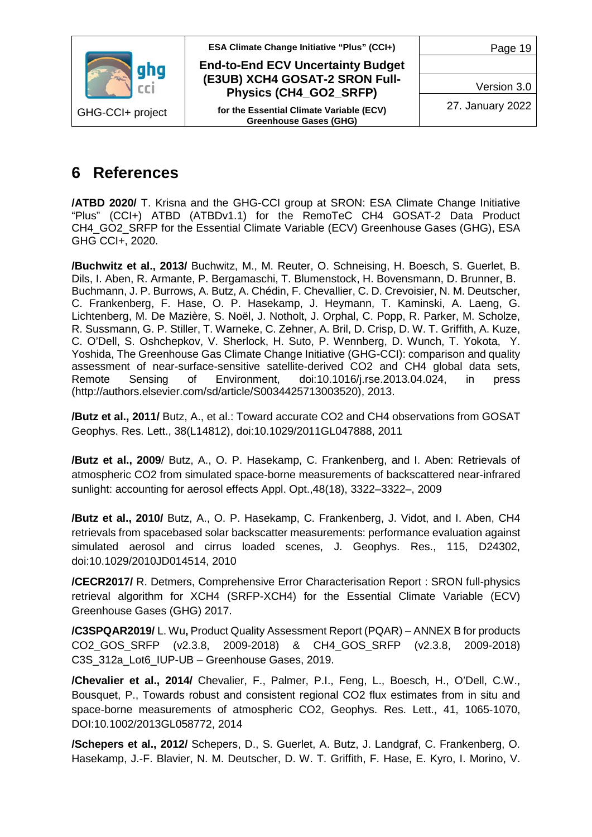![](_page_18_Picture_0.jpeg)

# <span id="page-18-0"></span>**6 References**

**/ATBD 2020/** T. Krisna and the GHG-CCI group at SRON: ESA Climate Change Initiative "Plus" (CCI+) ATBD (ATBDv1.1) for the RemoTeC CH4 GOSAT-2 Data Product CH4\_GO2\_SRFP for the Essential Climate Variable (ECV) Greenhouse Gases (GHG), ESA GHG CCI+, 2020.

**/Buchwitz et al., 2013/** Buchwitz, M., M. Reuter, O. Schneising, H. Boesch, S. Guerlet, B. Dils, I. Aben, R. Armante, P. Bergamaschi, T. Blumenstock, H. Bovensmann, D. Brunner, B. Buchmann, J. P. Burrows, A. Butz, A. Chédin, F. Chevallier, C. D. Crevoisier, N. M. Deutscher, C. Frankenberg, F. Hase, O. P. Hasekamp, J. Heymann, T. Kaminski, A. Laeng, G. Lichtenberg, M. De Mazière, S. Noël, J. Notholt, J. Orphal, C. Popp, R. Parker, M. Scholze, R. Sussmann, G. P. Stiller, T. Warneke, C. Zehner, A. Bril, D. Crisp, D. W. T. Griffith, A. Kuze, C. O'Dell, S. Oshchepkov, V. Sherlock, H. Suto, P. Wennberg, D. Wunch, T. Yokota, Y. Yoshida, The Greenhouse Gas Climate Change Initiative (GHG-CCI): comparison and quality assessment of near-surface-sensitive satellite-derived CO2 and CH4 global data sets, Remote Sensing of Environment, doi:10.1016/j.rse.2013.04.024, in press (http://authors.elsevier.com/sd/article/S0034425713003520), 2013.

**/Butz et al., 2011/** Butz, A., et al.: Toward accurate CO2 and CH4 observations from GOSAT Geophys. Res. Lett., 38(L14812), doi:10.1029/2011GL047888, 2011

**/Butz et al., 2009**/ Butz, A., O. P. Hasekamp, C. Frankenberg, and I. Aben: Retrievals of atmospheric CO2 from simulated space-borne measurements of backscattered near-infrared sunlight: accounting for aerosol effects Appl. Opt.,48(18), 3322–3322–, 2009

**/Butz et al., 2010/** Butz, A., O. P. Hasekamp, C. Frankenberg, J. Vidot, and I. Aben, CH4 retrievals from spacebased solar backscatter measurements: performance evaluation against simulated aerosol and cirrus loaded scenes, J. Geophys. Res., 115, D24302, doi:10.1029/2010JD014514, 2010

**/CECR2017/** R. Detmers, Comprehensive Error Characterisation Report : SRON full-physics retrieval algorithm for XCH4 (SRFP-XCH4) for the Essential Climate Variable (ECV) Greenhouse Gases (GHG) 2017.

**/C3SPQAR2019/** L. Wu**,** Product Quality Assessment Report (PQAR) – ANNEX B for products CO2\_GOS\_SRFP (v2.3.8, 2009-2018) & CH4\_GOS\_SRFP (v2.3.8, 2009-2018) C3S 312a Lot6 IUP-UB – Greenhouse Gases, 2019.

**/Chevalier et al., 2014/** Chevalier, F., Palmer, P.I., Feng, L., Boesch, H., O'Dell, C.W., Bousquet, P., Towards robust and consistent regional CO2 flux estimates from in situ and space-borne measurements of atmospheric CO2, Geophys. Res. Lett., 41, 1065-1070, DOI:10.1002/2013GL058772, 2014

**/Schepers et al., 2012/** Schepers, D., S. Guerlet, A. Butz, J. Landgraf, C. Frankenberg, O. Hasekamp, J.-F. Blavier, N. M. Deutscher, D. W. T. Griffith, F. Hase, E. Kyro, I. Morino, V.

Page 19

Version 3.0

27. January 2022